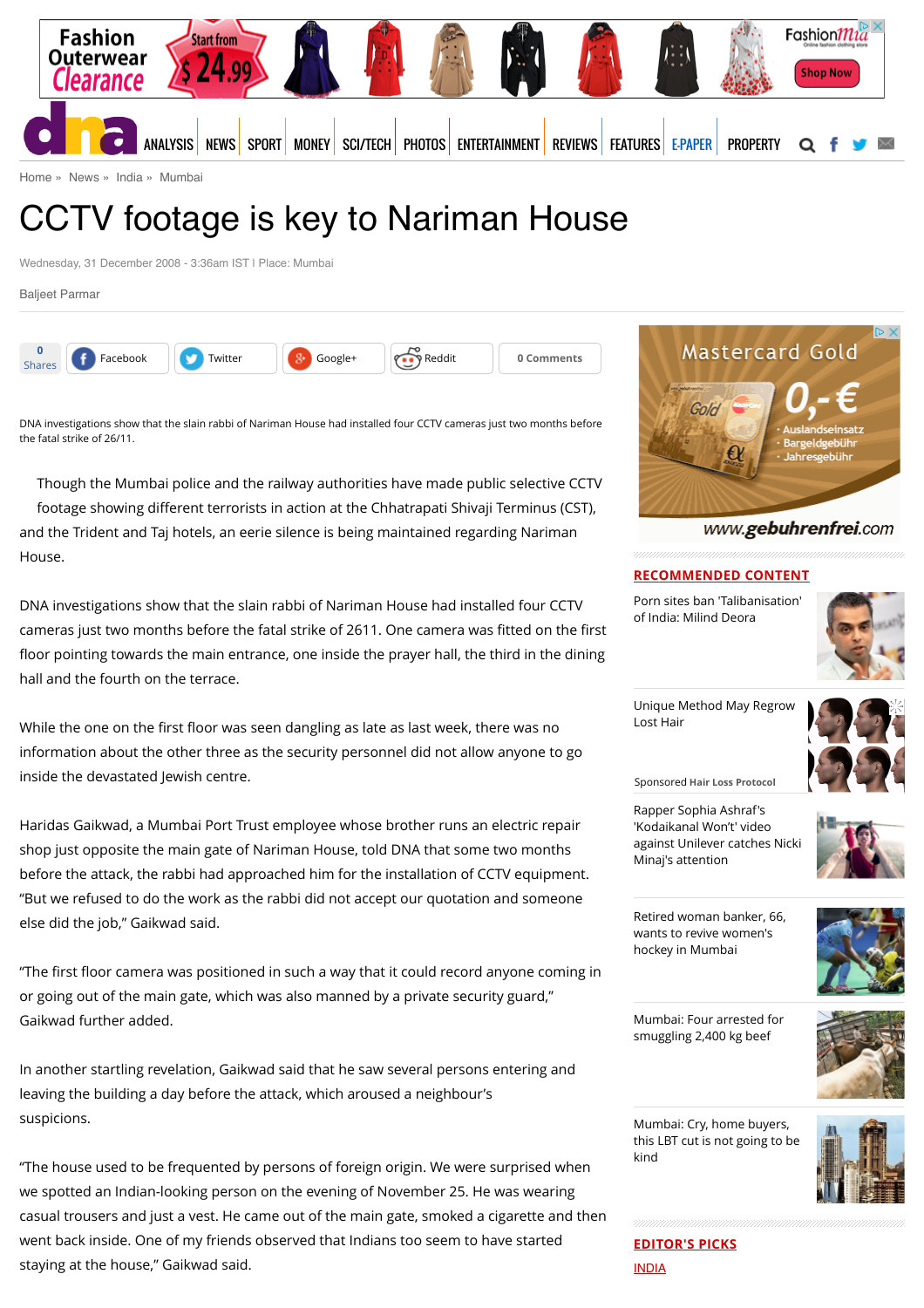

[Home](http://www.dnaindia.com/) » [News](http://www.dnaindia.com/news) » [India](http://www.dnaindia.com/india) » [Mumbai](http://www.dnaindia.com/mumbai)

# CCTV footage is key to Nariman House

Wednesday, 31 December 2008 - 3:36am IST | Place: Mumbai

[Baljeet Parmar](http://www.dnaindia.com/authors/baljeet-parmar)



DNA investigations show that the slain rabbi of Nariman House had installed four CCTV cameras just two months before the fatal strike of 26/11.

Though the Mumbai police and the railway authorities have made public selective CCTV footage showing different terrorists in action at the Chhatrapati Shivaji Terminus (CST), and the Trident and Taj hotels, an eerie silence is being maintained regarding Nariman House.

DNA investigations show that the slain rabbi of Nariman House had installed four CCTV cameras just two months before the fatal strike of 2611. One camera was fitted on the first floor pointing towards the main entrance, one inside the prayer hall, the third in the dining hall and the fourth on the terrace.

While the one on the first floor was seen dangling as late as last week, there was no information about the other three as the security personnel did not allow anyone to go inside the devastated Jewish centre.

Haridas Gaikwad, a Mumbai Port Trust employee whose brother runs an electric repair shop just opposite the main gate of Nariman House, told DNA that some two months before the attack, the rabbi had approached him for the installation of CCTV equipment. "But we refused to do the work as the rabbi did not accept our quotation and someone else did the job," Gaikwad said.

"The first floor camera was positioned in such a way that it could record anyone coming in or going out of the main gate, which was also manned by a private security guard," Gaikwad further added.

In another startling revelation, Gaikwad said that he saw several persons entering and leaving the building a day before the attack, which aroused a neighbour's suspicions.

"The house used to be frequented by persons of foreign origin. We were surprised when we spotted an Indian-looking person on the evening of November 25. He was wearing casual trousers and just a vest. He came out of the main gate, smoked a cigarette and then went back inside. One of my friends observed that Indians too seem to have started staying at the house," Gaikwad said.



## www.gebuhrenfrei.com

### **RECOMMENDED CONTENT**

[Porn sites ban 'Talibanisation'](http://www.dnaindia.com/india/report-porn-sites-ban-talibanisation-of-india-milind-deora-2110734) of India: Milind Deora



[Unique Method May Regrow](https://beap.gemini.yahoo.com/mbclk?bv=1.0.0&es=ZfQJ7CQGIS.B4MjV3e90htprYolvditt7o4sqgyz0lo5Ym.2u27JPr83nzdHMAQ7St7LQlZsBiWzRz_0LXY_i5L3zkeLjwfyZy96078FFrwJZS3rtBAg9YQcX65sSN2JHoGJN4t6Wf4cWj2SLnnkYzUJZ5JBvPJvf11J7KBktqdIPvF5Wvq8QiJEe0YtxpqdY6v8HKZ14wVVWL6bgpbAvrlZn_h9z4cENiKvtsedgkcMC2AyeVfrChc.nqlBjLN9LCXMuoDZnOKus8xmlIA9vmdVxfPoN6.PNBOEd.2Fe8Mpje9fAKvC5yxSC7qAP9WB9Ty5mEcdWAiK5rqFS7Hv1a2wnRgtXX0XKPrLo_890lheeVWS1RXM5ymSkJSfPk_PZxvoTb8MD5PZ4RIm7Y21mVirUbrA2WGfDV3.9YTfgyViMzm1ZqimJw8l96MDcReCoJEmHgE3h5QG5nVTIkkV2uFRL6zUMKuFR9JWB9nAQrv5nWz.dSlGnrsckE5boyHPkbT0z0IcgO_2J1B_FpMFFefikjA-%26lp=) Lost Hair



Rapper Sophia Ashraf's 'Kodaikanal Won't' video

Sponsored **Hair Loss Protocol**

[against Unilever catches Nicki](http://www.dnaindia.com/india/report-rapper-sophia-ashraf-s-kodaikanal-won-t-video-against-unilever-catches-nicki-minaj-s-attention-2110652)

Minaj's attention



[Retired woman banker, 66,](http://www.dnaindia.com/mumbai/report-retired-woman-banker-66-wants-to-revive-women-s-hockey-in-mumbai-2110524) wants to revive women's hockey in Mumbai



[Mumbai: Four arrested for](http://www.dnaindia.com/mumbai/report-mumbai-four-arrested-for-smuggling-2400-kg-beef-2110530) smuggling 2,400 kg beef



Mumbai: Cry, home buyers, [this LBT cut is not going to be](http://www.dnaindia.com/mumbai/report-mumbai-cry-home-buyers-this-lbt-cut-is-not-going-to-be-kind-2110471) kind



**EDITOR'S PICKS** [INDIA](http://www.dnaindia.com/india)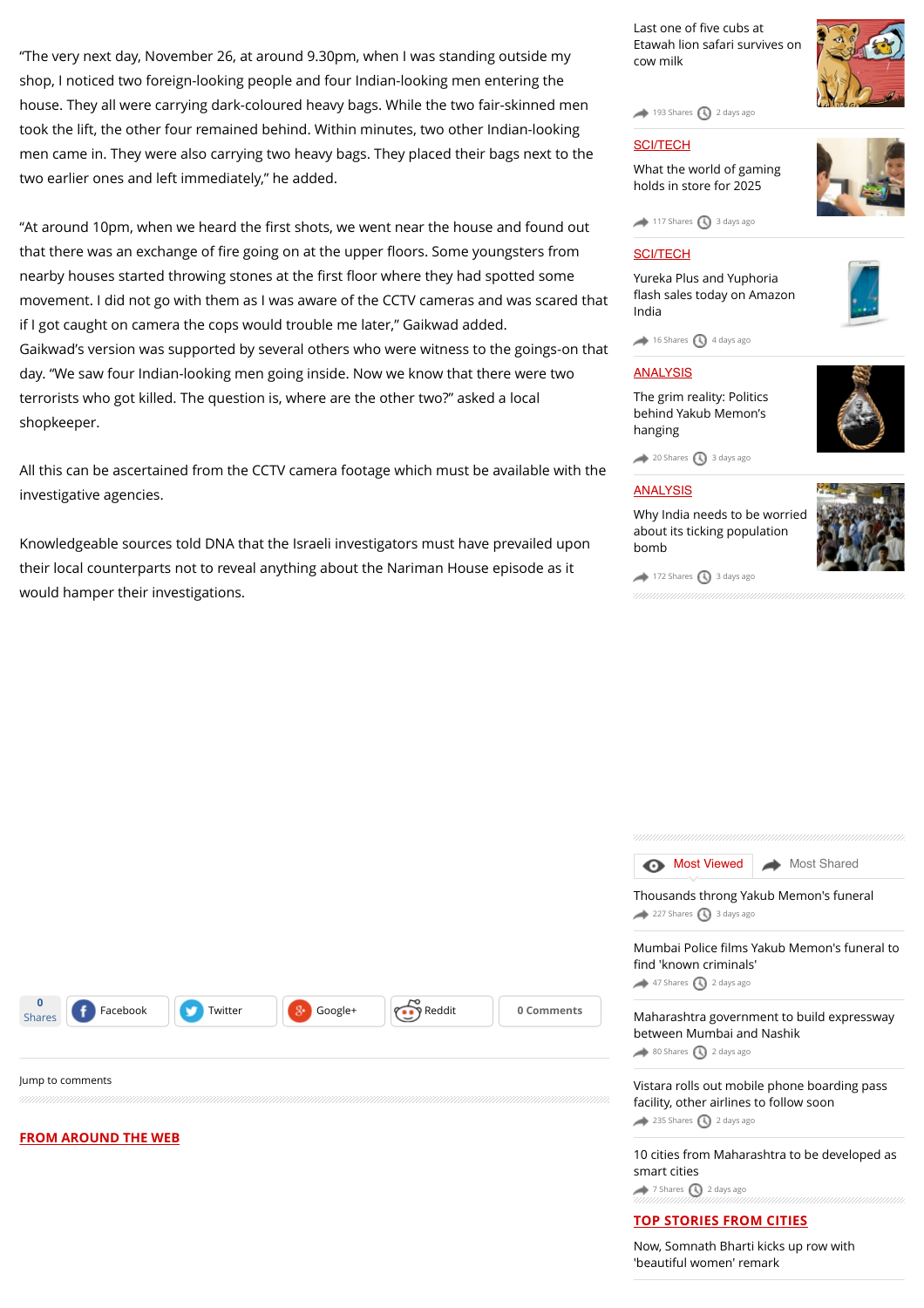"The very next day, November 26, at around 9.30pm, when I was standing outside my shop, I noticed two foreign-looking people and four Indian-looking men entering the house. They all were carrying dark-coloured heavy bags. While the two fair-skinned men took the lift, the other four remained behind. Within minutes, two other Indian-looking men came in. They were also carrying two heavy bags. They placed their bags next to the two earlier ones and left immediately," he added.

"At around 10pm, when we heard the first shots, we went near the house and found out that there was an exchange of fire going on at the upper floors. Some youngsters from nearby houses started throwing stones at the first floor where they had spotted some movement. I did not go with them as I was aware of the CCTV cameras and was scared that if I got caught on camera the cops would trouble me later," Gaikwad added. Gaikwad's version was supported by several others who were witness to the goings-on that day. "We saw four Indian-looking men going inside. Now we know that there were two terrorists who got killed. The question is, where are the other two?" asked a local shopkeeper.

All this can be ascertained from the CCTV camera footage which must be available with the investigative agencies.

Knowledgeable sources told DNA that the Israeli investigators must have prevailed upon their local counterparts not to reveal anything about the Nariman House episode as it would hamper their investigations.

| Last one of five cubs at       |
|--------------------------------|
| Etawah lion safari survives on |
| cow milk                       |

[193 Shares](http://www.dnaindia.com/mumbai/report-cctv-footage-is-key-to-nariman-house-1217742#) 3 [2 days ago](http://www.dnaindia.com/mumbai/report-cctv-footage-is-key-to-nariman-house-1217742#)

#### **[SCI/TECH](http://www.dnaindia.com/scitech)**

[What the world of gaming](http://www.dnaindia.com/scitech/report-immersion-is-the-name-of-the-game-2109432) holds in store for 2025



 $\rightarrow$  [117 Shares](http://www.dnaindia.com/mumbai/report-cctv-footage-is-key-to-nariman-house-1217742#)  $\bigcirc$  [3 days ago](http://www.dnaindia.com/mumbai/report-cctv-footage-is-key-to-nariman-house-1217742#)

## [SCI/TECH](http://www.dnaindia.com/scitech)

Yureka Plus and Yuphoria fl[ash sales today on Amazon](http://www.dnaindia.com/scitech/report-yureka-plus-and-yuphoria-flash-sales-today-on-amazon-india-2109499) India



### [ANALYSIS](http://www.dnaindia.com/analysis)

[The grim reality: Politics](http://www.dnaindia.com/analysis/editorial-the-grim-reality-politics-behind-yakub-memon-s-hanging-2109659) behind Yakub Memon's hanging



 $20$  Shares  $\bigcirc$  [3 days ago](http://www.dnaindia.com/mumbai/report-cctv-footage-is-key-to-nariman-house-1217742#)

#### **[ANALYSIS](http://www.dnaindia.com/analysis)**

[Why India needs to be worried](http://www.dnaindia.com/analysis/editorial-dnaedit-population-bomb-2109662) about its ticking population bomb

**[Most Viewed](http://www.dnaindia.com/mumbai/report-cctv-footage-is-key-to-nariman-house-1217742#mostviewed) [Most Shared](http://www.dnaindia.com/mumbai/report-cctv-footage-is-key-to-nariman-house-1217742#mostshared)** 



 $\rightarrow$  [172 Shares](http://www.dnaindia.com/mumbai/report-cctv-footage-is-key-to-nariman-house-1217742#)  $\bigcirc$  [3 days ago](http://www.dnaindia.com/mumbai/report-cctv-footage-is-key-to-nariman-house-1217742#)

|                                                                                 | Thousands throng Yakub Memon's funeral<br>227 Shares 3 days ago                                                  |  |
|---------------------------------------------------------------------------------|------------------------------------------------------------------------------------------------------------------|--|
|                                                                                 | Mumbai Police films Yakub Memon's funeral to<br>find 'known criminals'<br>47 Shares 3 2 days ago                 |  |
| Reddit<br>$8+$<br>Facebook<br>Twitter<br>Google+<br>0 Comments<br><b>Shares</b> | Maharashtra government to build expressway<br>between Mumbai and Nashik<br>80 Shares 3 2 days ago                |  |
| Jump to comments                                                                | Vistara rolls out mobile phone boarding pass<br>facility, other airlines to follow soon<br>235 Shares 2 days ago |  |
| <b>FROM AROUND THE WEB</b>                                                      | 10 cities from Maharashtra to be developed as<br>smart cities<br>7 Shares $\bigcirc$ 2 days ago                  |  |
|                                                                                 | <b>TOP STORIES FROM CITIES</b>                                                                                   |  |
|                                                                                 | Now, Somnath Bharti kicks up row with<br>'beautiful women' remark                                                |  |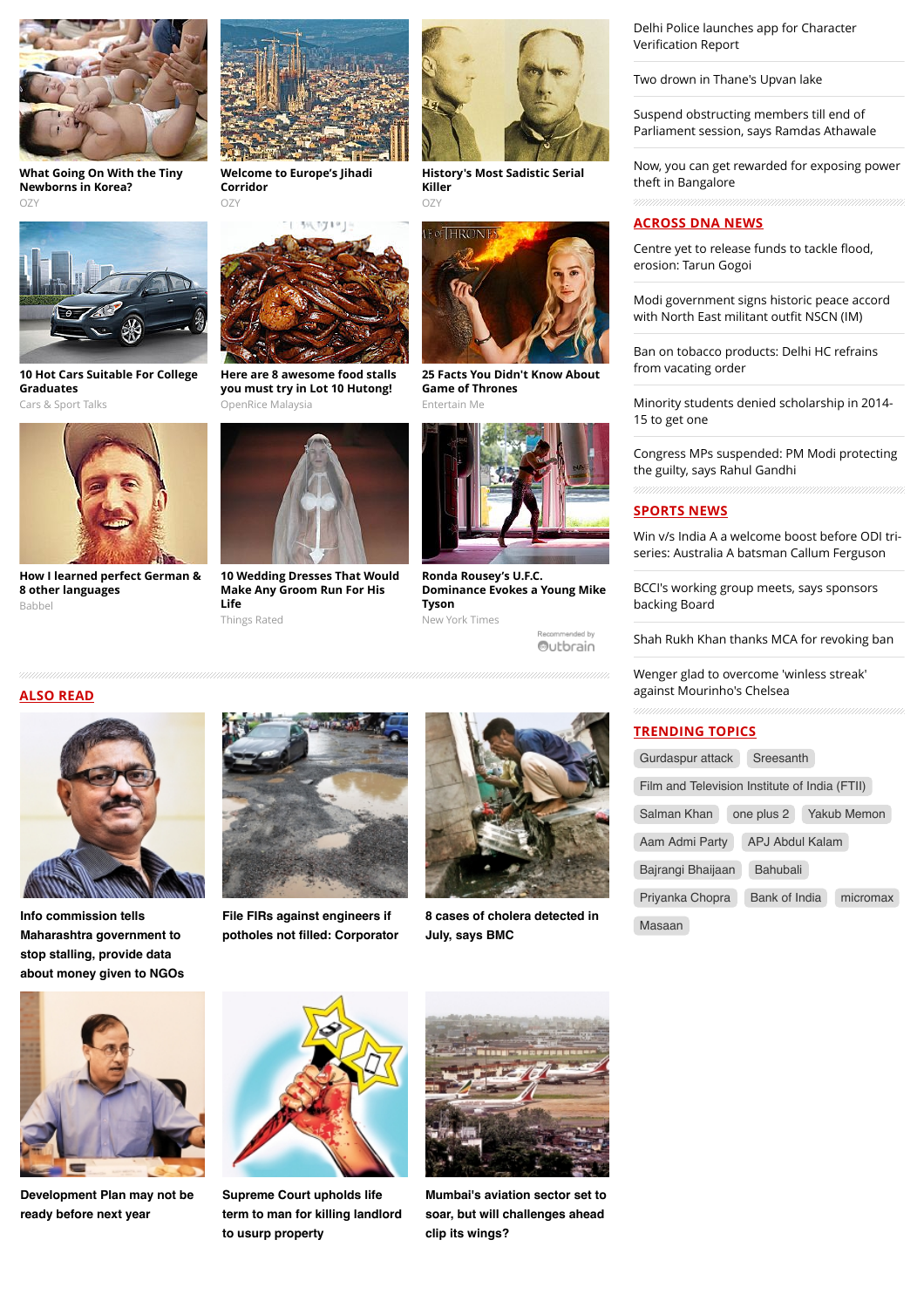

**[What Going On With the Tiny](http://www.ozy.com/acumen/whats-wrong-with-all-those-little-newborns/40384?utm_source=Outbrain&utm_medium=CPC&utm_campaign=INTL%20-%20All%20Clicks%20ALL%20Devices) Newborns in Korea?** OZY

**[10 Hot Cars Suitable For College](http://fryerschat.com/10-hot-cars-suitable-for-college-graduates/)**

**[How I learned perfect German &](http://www.babbel.com/en/magazine/language-chamaleon-one?slc=engmag-a2-vid-bv1-polyglotvid-ob&utm_source=outbrain&utm_medium=CON&utm_campaign=cd_engall_gen_cde_bv1_polyglotvid)**

**Graduates** Cars & Sport Talks



**[Welcome to Europe's Jihadi](http://www.ozy.com/fast-forward/welcome-to-europes-jihadi-corridor/60342?utm_source=Outbrain&utm_medium=CPC&utm_campaign=INTL%20-%20All%20Clicks%20ALL%20Devices) Corridor** OZY



**[History's Most Sadistic Serial](http://www.ozy.com/flashback/historys-most-sadistic-serial-killer/40585?utm_source=Outbrain&utm_medium=CPC&utm_campaign=INTL%20-%20All%20Clicks%20ALL%20Devices) Killer** OZY



**[25 Facts You Didn't Know About](http://cyber-breeze.com/20-game-of-throne-facts-that-change-perception/?utm_source=Outbrain&utm_medium=referral&utm_campaign=OB-Thrones-Int-Des) Game of Thrones** Entertain Me



**Ronda Rousey's U.F.C. [Dominance Evokes a Young Mike](http://www.nytimes.com/2015/08/01/sports/ronda-rouseys-ufc-dominance-evokes-a-young-mike-tyson.html?WT.mc_id=2015-AUGUST-OTB-INTL_AUD_DEV-0801-0831&WT.mc_ev=click&ad-keywords=IntlAudDev) Tyson** New York Times

Recommended by Outbrain [Delhi Police launches app for Character](http://www.dnaindia.com/delhi/report-delhi-police-launches-app-for-character-verification-report-2110745) Verification Report

[Two drown in Thane's Upvan lake](http://www.dnaindia.com/mumbai/report-two-drown-in-thane-s-upvan-lake-2110740)

Suspend obstructing members till end of [Parliament session, says Ramdas Athawale](http://www.dnaindia.com/mumbai/report-suspend-obstructing-members-till-end-of-parliament-session-says-ramdas-athawale-2110708)

[Now, you can get rewarded for exposing power](http://www.dnaindia.com/bangalore/report-now-you-can-get-rewarded-for-exposing-power-theft-in-bangalore-2110610) theft in Bangalore

## **ACROSS DNA NEWS**

[Centre yet to release funds to tackle](http://www.dnaindia.com/india/report-centre-yet-to-release-funds-to-tackle-flood-erosion-tarun-gogoi-2110831) flood, erosion: Tarun Gogoi

[Modi government signs historic peace accord](http://www.dnaindia.com/india/report-pm-modi-announces-signing-of-accord-with-north-east-militant-outfit-nscnim-2110737) with North East militant outfit NSCN (IM)

[Ban on tobacco products: Delhi HC refrains](http://www.dnaindia.com/india/report-ban-on-tobacco-products-delhi-hc-refrains-from-vacating-order-2110820) from vacating order

[Minority students denied scholarship in 2014-](http://www.dnaindia.com/india/report-minority-students-denied-scholarship-in-2014-15-to-get-one-2110830) 15 to get one

[Congress MPs suspended: PM Modi protecting](http://www.dnaindia.com/india/report-congress-mps-suspended-pm-modi-protecting-the-guilty-says-rahul-gandhi-2110827) the guilty, says Rahul Gandhi

## **SPORTS NEWS**

[Win v/s India A a welcome boost before ODI tri](http://www.dnaindia.com/sport/report-win-vs-india-a-a-welcome-boost-before-odi-tri-series-australia-a-batsman-callum-ferguson-2110814)series: Australia A batsman Callum Ferguson

[BCCI's working group meets, says sponsors](http://www.dnaindia.com/sport/report-bcci-s-working-group-meets-says-sponsors-backing-board-2110771) backing Board

[Shah Rukh Khan thanks MCA for revoking ban](http://www.dnaindia.com/sport/report-shah-rukh-khan-thanks-mca-for-revoking-ban-2110703)

[Wenger glad to overcome 'winless streak'](http://www.dnaindia.com/sport/report-wenger-glad-to-overcome-winless-streak-against-mourinho-s-chelsea-2110668) against Mourinho's Chelsea

#### **TRENDING TOPICS**

| Gurdaspur attack                              | Sreesanth              |             |
|-----------------------------------------------|------------------------|-------------|
| Film and Television Institute of India (FTII) |                        |             |
| Salman Khan                                   | one plus 2             | Yakub Memon |
| Aam Admi Party                                | <b>APJ Abdul Kalam</b> |             |
| Bajrangi Bhaijaan                             | Bahubali               |             |
| Priyanka Chopra                               | <b>Bank of India</b>   | micromax    |
|                                               |                        |             |

**Info commission tells [Maharashtra government to](http://www.dnaindia.com/mumbai/report-info-commission-tells-maharashtra-government-to-stop-stalling-provide-data-about-money-given-to-ngos-2110200) stop stalling, provide data**

**ALSO READ**

**8 other languages**

Babbe

**about money given to NGOs**



**File FIRs against engineers if [potholes not filled: Corporator](http://www.dnaindia.com/mumbai/report-file-firs-against-engineers-if-potholes-not-filled-corporator-2110198)**



**[8 cases of cholera detected in](http://www.dnaindia.com/mumbai/report-8-cases-of-cholera-detected-in-july-says-bmc-2110197) July, says BMC**



**[Development Plan may not be](http://www.dnaindia.com/mumbai/report-development-plan-may-not-be-ready-before-next-year-2110189) ready before next year**



**Supreme Court upholds life [term to man for killing landlord](http://www.dnaindia.com/mumbai/report-supreme-court-upholds-life-term-to-man-for-killing-landlord-to-usurp-property-2110170) to usurp property**



**[Mumbai's aviation sector set to](http://www.dnaindia.com/mumbai/report-mumbai-s-aviation-sector-set-to-soar-but-will-challenges-ahead-clip-its-wings-2110168) soar, but will challenges ahead clip its wings?**

|          | Gurdaspur attack               | S <sub>1</sub> |
|----------|--------------------------------|----------------|
|          | <b>Film and Television Ins</b> |                |
|          | Salman Khan                    | one p          |
|          | Aam Admi Party                 | AP             |
|          | Bajrangi Bhaijaan              | В              |
|          | Priyanka Chopra                | Bε             |
| actad in |                                |                |

[Masaan](http://www.dnaindia.com/topic/masaan)

**[Here are 8 awesome food stalls](http://my.openrice.com/klangvalley/article/8-must-eat-foods-at-lot-10-hutong/703?utm_campaign=article&utm_medium=cpc&utm_source=outbrain&utm_term=id-703) you must try in Lot 10 Hutong!**

OpenRice Malaysia

**[10 Wedding Dresses That Would](http://thingsrated.com/2015/06/25/10-wedding-dresses-that-would-make-any-groom-run-for-his-life/?utm_source=outbrain&utm_medium=cpc&utm_campaign=outbrain_top10_DE&utm_term=4777563) Make Any Groom Run For His Life**

Things Rated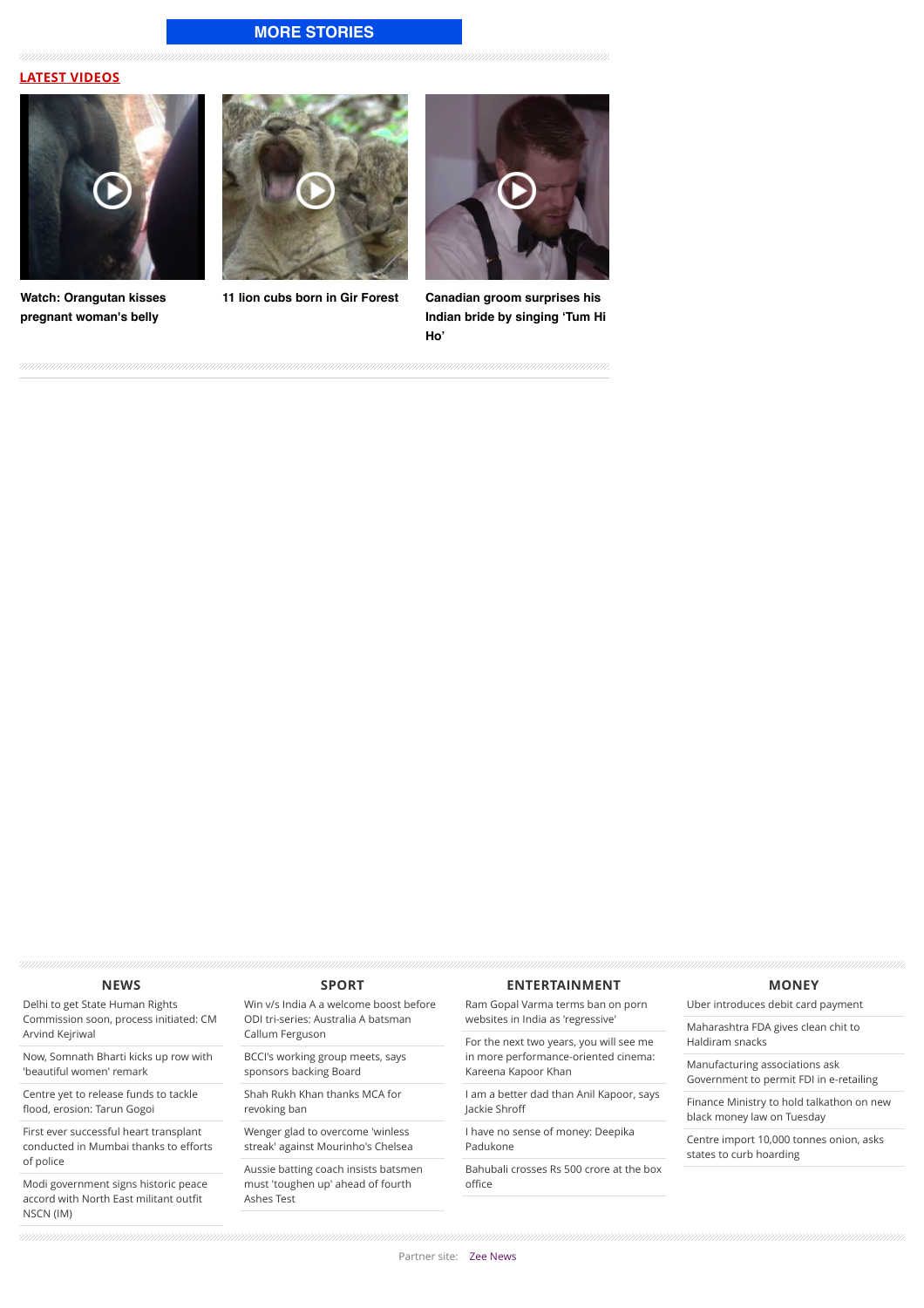## **[MORE STORIES](http://www.dnaindia.com/mumbai)**

#### **LATEST VIDEOS**



**[Watch: Orangutan kisses](http://www.dnaindia.com/world/video-watch-orangutan-kisses-pregnant-woman-s-belly-2109068) pregnant woman's belly**





**[11 lion cubs born in Gir Forest](http://www.dnaindia.com/india/video-11-lion-cubs-born-in-gir-forest-2105493) Canadian groom surprises his [Indian bride by singing 'Tum Hi](http://www.dnaindia.com/world/video-canadian-groom-surprises-his-indian-bride-by-singing-tum-hi-ho-2104831) Ho'**

#### **[NEWS](http://www.dnaindia.com/news)**

Delhi to get State Human Rights [Commission soon, process initiated: CM](http://www.dnaindia.com/india/report-delhi-to-get-state-human-rights-commission-soon-process-initiated-cm-arvind-kejriwal-2110839) Arvind Kejriwal

[Now, Somnath Bharti kicks up row with](http://www.dnaindia.com/delhi/report-now-somnath-bharti-kicks-up-row-with-beautiful-women-remark-2110837) 'beautiful women' remark

[Centre yet to release funds to tackle](http://www.dnaindia.com/india/report-centre-yet-to-release-funds-to-tackle-flood-erosion-tarun-gogoi-2110831) flood, erosion: Tarun Gogoi

[First ever successful heart transplant](http://www.dnaindia.com/mumbai/report-first-ever-successful-heart-transplant-conducted-in-mumbai-thanks-to-efforts-of-police-2110832) conducted in Mumbai thanks to efforts of police

[Modi government signs historic peace](http://www.dnaindia.com/india/report-pm-modi-announces-signing-of-accord-with-north-east-militant-outfit-nscnim-2110737) accord with North East militant outfit NSCN (IM)

#### **[SPORT](http://www.dnaindia.com/sport)**

[Win v/s India A a welcome boost before](http://www.dnaindia.com/sport/report-win-vs-india-a-a-welcome-boost-before-odi-tri-series-australia-a-batsman-callum-ferguson-2110814) ODI tri-series: Australia A batsman Callum Ferguson

[BCCI's working group meets, says](http://www.dnaindia.com/sport/report-bcci-s-working-group-meets-says-sponsors-backing-board-2110771) sponsors backing Board

[Shah Rukh Khan thanks MCA for](http://www.dnaindia.com/sport/report-shah-rukh-khan-thanks-mca-for-revoking-ban-2110703) revoking ban

Wenger glad to overcome 'winless [streak' against Mourinho's Chelsea](http://www.dnaindia.com/sport/report-wenger-glad-to-overcome-winless-streak-against-mourinho-s-chelsea-2110668)

[Aussie batting coach insists batsmen](http://www.dnaindia.com/sport/report-aussie-batting-coach-insists-batsmen-must-toughen-up-ahead-of-fourth-ashes-test-2110666) must 'toughen up' ahead of fourth Ashes Test

#### **[ENTERTAINMENT](http://www.dnaindia.com/entertainment)**

[Ram Gopal Varma terms ban on porn](http://www.dnaindia.com/entertainment/report-ram-gopal-varma-terms-ban-on-porn-websites-in-india-as-regressive-2110747) websites in India as 'regressive'

For the next two years, you will see me [in more performance-oriented cinema:](http://www.dnaindia.com/entertainment/interview-for-the-next-two-years-you-will-see-me-in-more-performance-oriented-cinema-kareena-kapoor-khan-2110753) Kareena Kapoor Khan

[I am a better dad than Anil Kapoor, says](http://www.dnaindia.com/entertainment/interview-i-am-a-better-dad-than-anil-jackie-shroff-2110742) Jackie Shroff

[I have no sense of money: Deepika](http://www.dnaindia.com/entertainment/report-i-have-no-sense-of-money-deepika-padukone-2110738) Padukone

[Bahubali crosses Rs 500 crore at the box](http://www.dnaindia.com/entertainment/report-bahubali-crosses-rs-500-crore-at-the-box-office-2110724) office

#### **[MONEY](http://www.dnaindia.com/money)**

[Uber introduces debit card payment](http://www.dnaindia.com/money/report-uber-introduces-debit-card-payment-2110834)

[Maharashtra FDA gives clean chit to](http://www.dnaindia.com/money/report-maharashtra-fda-gives-clean-chit-to-haldiram-snacks-2110835) Haldiram snacks

Manufacturing associations ask [Government to permit FDI in e-retailing](http://www.dnaindia.com/money/report-manufacturing-associations-ask-government-to-permit-fdi-in-e-retailing-2110829)

[Finance Ministry to hold talkathon on new](http://www.dnaindia.com/money/report-finance-ministry-to-hold-talkathon-on-new-black-money-law-on-tuesday-2110828) black money law on Tuesday

[Centre import 10,000 tonnes onion, asks](http://www.dnaindia.com/money/report-centre-importing-10000-tonnes-onionasks-states-to-curb-hoarding-2110825) states to curb hoarding